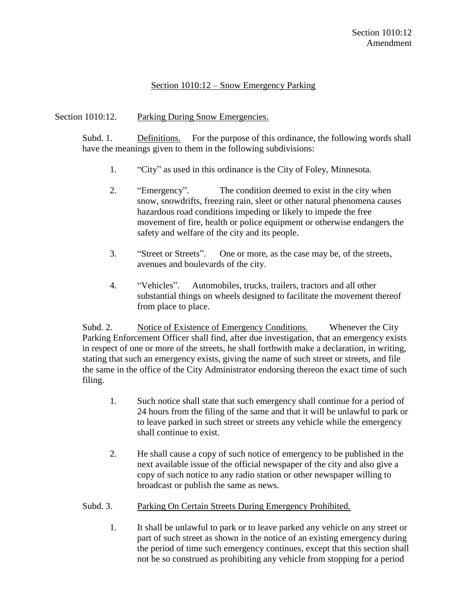## Section 1010:12 – Snow Emergency Parking

## Section 1010:12. Parking During Snow Emergencies.

Subd. 1. Definitions. For the purpose of this ordinance, the following words shall have the meanings given to them in the following subdivisions:

- 1. "City" as used in this ordinance is the City of Foley, Minnesota.
- 2. "Emergency". The condition deemed to exist in the city when snow, snowdrifts, freezing rain, sleet or other natural phenomena causes hazardous road conditions impeding or likely to impede the free movement of fire, health or police equipment or otherwise endangers the safety and welfare of the city and its people.
- 3. "Street or Streets". One or more, as the case may be, of the streets, avenues and boulevards of the city.
- 4. "Vehicles". Automobiles, trucks, trailers, tractors and all other substantial things on wheels designed to facilitate the movement thereof from place to place.

Subd. 2. Notice of Existence of Emergency Conditions. Whenever the City Parking Enforcement Officer shall find, after due investigation, that an emergency exists in respect of one or more of the streets, he shall forthwith make a declaration, in writing, stating that such an emergency exists, giving the name of such street or streets, and file the same in the office of the City Administrator endorsing thereon the exact time of such filing.

- 1. Such notice shall state that such emergency shall continue for a period of 24 hours from the filing of the same and that it will be unlawful to park or to leave parked in such street or streets any vehicle while the emergency shall continue to exist.
- 2. He shall cause a copy of such notice of emergency to be published in the next available issue of the official newspaper of the city and also give a copy of such notice to any radio station or other newspaper willing to broadcast or publish the same as news.

## Subd. 3. Parking On Certain Streets During Emergency Prohibited.

1. It shall be unlawful to park or to leave parked any vehicle on any street or part of such street as shown in the notice of an existing emergency during the period of time such emergency continues, except that this section shall not be so construed as prohibiting any vehicle from stopping for a period